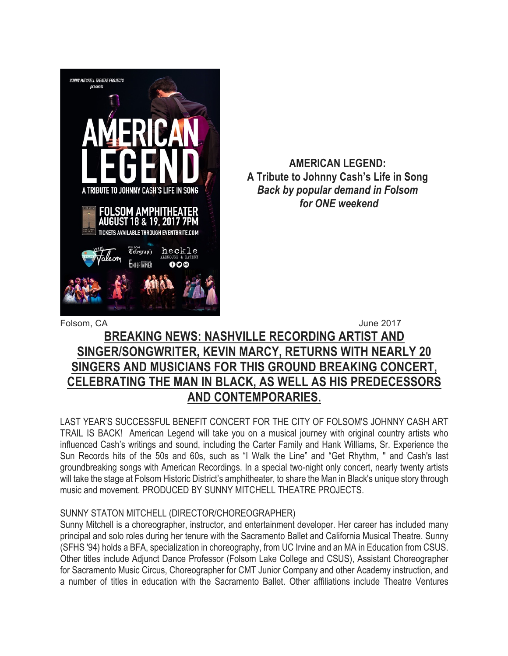

**AMERICAN LEGEND: A Tribute to Johnny Cash's Life in Song** *Back by popular demand in Folsom for ONE weekend*

## Folsom, CA June 2017 **BREAKING NEWS: NASHVILLE RECORDING ARTIST AND SINGER/SONGWRITER, KEVIN MARCY, RETURNS WITH NEARLY 20 SINGERS AND MUSICIANS FOR THIS GROUND BREAKING CONCERT, CELEBRATING THE MAN IN BLACK, AS WELL AS HIS PREDECESSORS AND CONTEMPORARIES.**

LAST YEAR'S SUCCESSFUL BENEFIT CONCERT FOR THE CITY OF FOLSOM'S JOHNNY CASH ART TRAIL IS BACK! American Legend will take you on a musical journey with original country artists who influenced Cash's writings and sound, including the Carter Family and Hank Williams, Sr. Experience the Sun Records hits of the 50s and 60s, such as "I Walk the Line" and "Get Rhythm, " and Cash's last groundbreaking songs with American Recordings. In a special two-night only concert, nearly twenty artists will take the stage at Folsom Historic District's amphitheater, to share the Man in Black's unique story through music and movement. PRODUCED BY SUNNY MITCHELL THEATRE PROJECTS.

## SUNNY STATON MITCHELL (DIRECTOR/CHOREOGRAPHER)

Sunny Mitchell is a choreographer, instructor, and entertainment developer. Her career has included many principal and solo roles during her tenure with the Sacramento Ballet and California Musical Theatre. Sunny (SFHS '94) holds a BFA, specialization in choreography, from UC Irvine and an MA in Education from CSUS. Other titles include Adjunct Dance Professor (Folsom Lake College and CSUS), Assistant Choreographer for Sacramento Music Circus, Choreographer for CMT Junior Company and other Academy instruction, and a number of titles in education with the Sacramento Ballet. Other affiliations include Theatre Ventures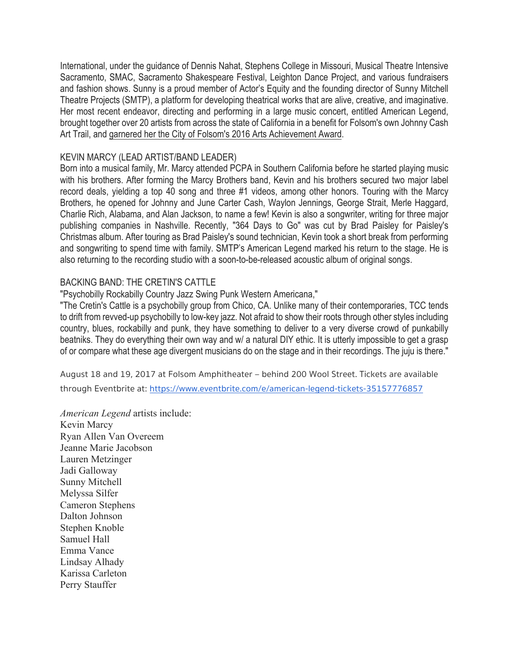International, under the guidance of Dennis Nahat, Stephens College in Missouri, Musical Theatre Intensive Sacramento, SMAC, Sacramento Shakespeare Festival, Leighton Dance Project, and various fundraisers and fashion shows. Sunny is a proud member of Actor's Equity and the founding director of Sunny Mitchell Theatre Projects (SMTP), a platform for developing theatrical works that are alive, creative, and imaginative. Her most recent endeavor, directing and performing in a large music concert, entitled American Legend, brought together over 20 artists from across the state of California in a benefit for Folsom's own Johnny Cash Art Trail, and garnered her the City of Folsom's 2016 Arts Achievement Award.

## KEVIN MARCY (LEAD ARTIST/BAND LEADER)

Born into a musical family, Mr. Marcy attended PCPA in Southern California before he started playing music with his brothers. After forming the Marcy Brothers band, Kevin and his brothers secured two major label record deals, yielding a top 40 song and three #1 videos, among other honors. Touring with the Marcy Brothers, he opened for Johnny and June Carter Cash, Waylon Jennings, George Strait, Merle Haggard, Charlie Rich, Alabama, and Alan Jackson, to name a few! Kevin is also a songwriter, writing for three major publishing companies in Nashville. Recently, "364 Days to Go" was cut by Brad Paisley for Paisley's Christmas album. After touring as Brad Paisley's sound technician, Kevin took a short break from performing and songwriting to spend time with family. SMTP's American Legend marked his return to the stage. He is also returning to the recording studio with a soon-to-be-released acoustic album of original songs.

## BACKING BAND: THE CRETIN'S CATTLE

"Psychobilly Rockabilly Country Jazz Swing Punk Western Americana,"

"The Cretin's Cattle is a psychobilly group from Chico, CA. Unlike many of their contemporaries, TCC tends to drift from revved-up psychobilly to low-key jazz. Not afraid to show their roots through other styles including country, blues, rockabilly and punk, they have something to deliver to a very diverse crowd of punkabilly beatniks. They do everything their own way and w/ a natural DIY ethic. It is utterly impossible to get a grasp of or compare what these age divergent musicians do on the stage and in their recordings. The juju is there."

August 18 and 19, 2017 at Folsom Amphitheater – behind 200 Wool Street. Tickets are available through Eventbrite at: https://www.eventbrite.com/e/american-legend-tickets-35157776857

*American Legend* artists include: Kevin Marcy Ryan Allen Van Overeem Jeanne Marie Jacobson Lauren Metzinger Jadi Galloway Sunny Mitchell Melyssa Silfer Cameron Stephens Dalton Johnson Stephen Knoble Samuel Hall Emma Vance Lindsay Alhady Karissa Carleton Perry Stauffer